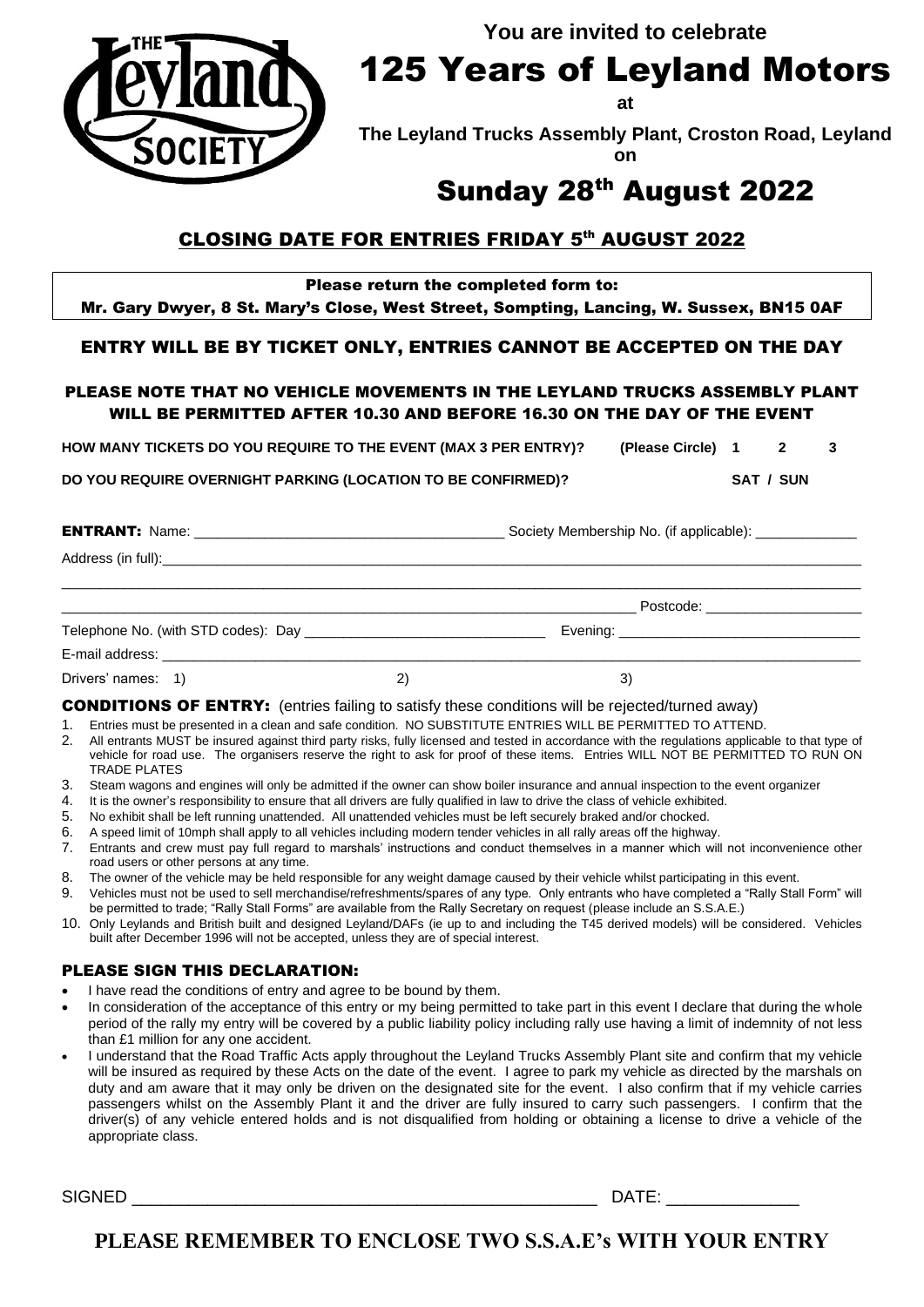**You are invited to celebrate**



125 Years of Leyland Motors

**at** 

**The Leyland Trucks Assembly Plant, Croston Road, Leyland on**

# Sunday 28<sup>th</sup> August 2022

## <u>CLOSING DATE FOR ENTRIES FRIDAY 5<sup>th</sup> AUGUST 2022</u>

Please return the completed form to:

Mr. Gary Dwyer, 8 St. Mary's Close, West Street, Sompting, Lancing, W. Sussex, BN15 0AF

#### ENTRY WILL BE BY TICKET ONLY, ENTRIES CANNOT BE ACCEPTED ON THE DAY

#### PLEASE NOTE THAT NO VEHICLE MOVEMENTS IN THE LEYLAND TRUCKS ASSEMBLY PLANT WILL BE PERMITTED AFTER 10.30 AND BEFORE 16.30 ON THE DAY OF THE EVENT

**HOW MANY TICKETS DO YOU REQUIRE TO THE EVENT (MAX 3 PER ENTRY)? (Please Circle) 1 2 3**

**DO YOU REQUIRE OVERNIGHT PARKING (LOCATION TO BE CONFIRMED)? SAT / SUN**

| <b>ENTRANT:</b><br><b>Name</b> | <sup>,</sup> Membership No.<br>\. (if applicable):<br>Societv |
|--------------------------------|---------------------------------------------------------------|
| າ full):<br>Address (in        |                                                               |

|                                                          |  | Postcode:                          |  |
|----------------------------------------------------------|--|------------------------------------|--|
| Telephone No. (with STD codes): Day ____________________ |  | Evening: _________________________ |  |
| E-mail address:                                          |  |                                    |  |
| Drivers' names: 1)                                       |  |                                    |  |

#### CONDITIONS OF ENTRY: (entries failing to satisfy these conditions will be rejected/turned away)

1. Entries must be presented in a clean and safe condition. NO SUBSTITUTE ENTRIES WILL BE PERMITTED TO ATTEND.

- 2. All entrants MUST be insured against third party risks, fully licensed and tested in accordance with the regulations applicable to that type of vehicle for road use. The organisers reserve the right to ask for proof of these items. Entries WILL NOT BE PERMITTED TO RUN ON TRADE PLATES
- 3. Steam wagons and engines will only be admitted if the owner can show boiler insurance and annual inspection to the event organizer
- 4. It is the owner's responsibility to ensure that all drivers are fully qualified in law to drive the class of vehicle exhibited.
- 5. No exhibit shall be left running unattended. All unattended vehicles must be left securely braked and/or chocked.
- 6. A speed limit of 10mph shall apply to all vehicles including modern tender vehicles in all rally areas off the highway.
- 7. Entrants and crew must pay full regard to marshals' instructions and conduct themselves in a manner which will not inconvenience other road users or other persons at any time.
- 8. The owner of the vehicle may be held responsible for any weight damage caused by their vehicle whilst participating in this event.
- 9. Vehicles must not be used to sell merchandise/refreshments/spares of any type. Only entrants who have completed a "Rally Stall Form" will be permitted to trade; "Rally Stall Forms" are available from the Rally Secretary on request (please include an S.S.A.E.)
- 10. Only Leylands and British built and designed Leyland/DAFs (ie up to and including the T45 derived models) will be considered. Vehicles built after December 1996 will not be accepted, unless they are of special interest.

#### PLEASE SIGN THIS DECLARATION:

- I have read the conditions of entry and agree to be bound by them.
- In consideration of the acceptance of this entry or my being permitted to take part in this event I declare that during the whole period of the rally my entry will be covered by a public liability policy including rally use having a limit of indemnity of not less than £1 million for any one accident.
- I understand that the Road Traffic Acts apply throughout the Leyland Trucks Assembly Plant site and confirm that my vehicle will be insured as required by these Acts on the date of the event. I agree to park my vehicle as directed by the marshals on duty and am aware that it may only be driven on the designated site for the event. I also confirm that if my vehicle carries passengers whilst on the Assembly Plant it and the driver are fully insured to carry such passengers. I confirm that the driver(s) of any vehicle entered holds and is not disqualified from holding or obtaining a license to drive a vehicle of the appropriate class.

SIGNED \_\_\_\_\_\_\_\_\_\_\_\_\_\_\_\_\_\_\_\_\_\_\_\_\_\_\_\_\_\_\_\_\_\_\_\_\_\_\_\_\_\_\_\_\_\_\_\_\_ DATE: \_\_\_\_\_\_\_\_\_\_\_\_\_\_

**PLEASE REMEMBER TO ENCLOSE TWO S.S.A.E's WITH YOUR ENTRY**